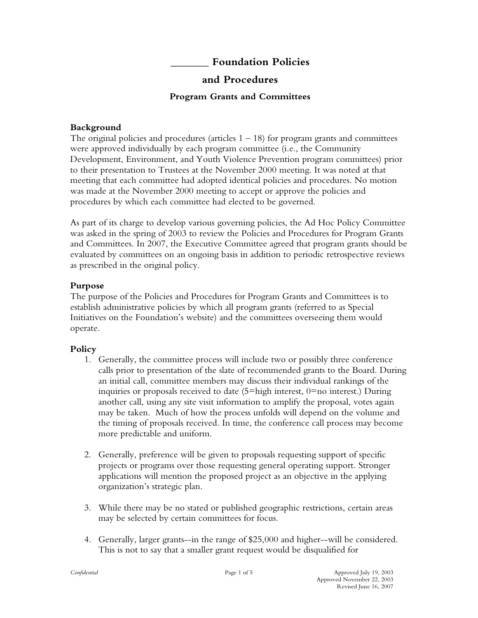**\_\_\_\_\_\_\_ Foundation Policies**

# **and Procedures**

## **Program Grants and Committees**

## **Background**

The original policies and procedures (articles  $1 - 18$ ) for program grants and committees were approved individually by each program committee (i.e., the Community Development, Environment, and Youth Violence Prevention program committees) prior to their presentation to Trustees at the November 2000 meeting. It was noted at that meeting that each committee had adopted identical policies and procedures. No motion was made at the November 2000 meeting to accept or approve the policies and procedures by which each committee had elected to be governed.

As part of its charge to develop various governing policies, the Ad Hoc Policy Committee was asked in the spring of 2003 to review the Policies and Procedures for Program Grants and Committees. In 2007, the Executive Committee agreed that program grants should be evaluated by committees on an ongoing basis in addition to periodic retrospective reviews as prescribed in the original policy.

# **Purpose**

The purpose of the Policies and Procedures for Program Grants and Committees is to establish administrative policies by which all program grants (referred to as Special Initiatives on the Foundation's website) and the committees overseeing them would operate.

# **Policy**

- 1. Generally, the committee process will include two or possibly three conference calls prior to presentation of the slate of recommended grants to the Board. During an initial call, committee members may discuss their individual rankings of the inquiries or proposals received to date  $(5=$ high interest,  $0=$ no interest.) During another call, using any site visit information to amplify the proposal, votes again may be taken. Much of how the process unfolds will depend on the volume and the timing of proposals received. In time, the conference call process may become more predictable and uniform.
- 2. Generally, preference will be given to proposals requesting support of specific projects or programs over those requesting general operating support. Stronger applications will mention the proposed project as an objective in the applying organization's strategic plan.
- 3. While there may be no stated or published geographic restrictions, certain areas may be selected by certain committees for focus.
- 4. Generally, larger grants--in the range of \$25,000 and higher--will be considered. This is not to say that a smaller grant request would be disqualified for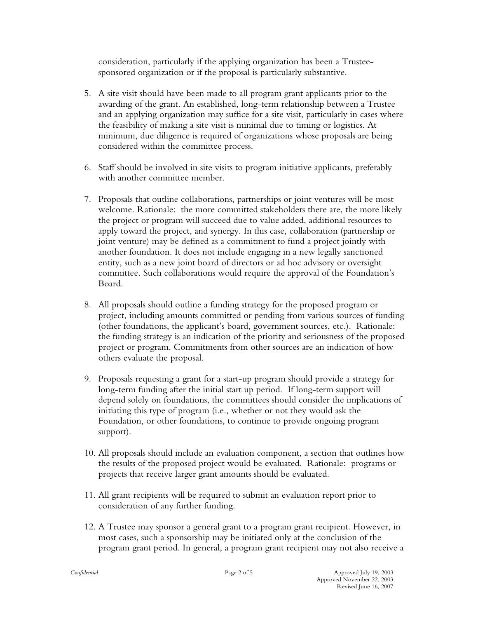consideration, particularly if the applying organization has been a Trusteesponsored organization or if the proposal is particularly substantive.

- 5. A site visit should have been made to all program grant applicants prior to the awarding of the grant. An established, long-term relationship between a Trustee and an applying organization may suffice for a site visit, particularly in cases where the feasibility of making a site visit is minimal due to timing or logistics. At minimum, due diligence is required of organizations whose proposals are being considered within the committee process.
- 6. Staff should be involved in site visits to program initiative applicants, preferably with another committee member.
- 7. Proposals that outline collaborations, partnerships or joint ventures will be most welcome. Rationale: the more committed stakeholders there are, the more likely the project or program will succeed due to value added, additional resources to apply toward the project, and synergy. In this case, collaboration (partnership or joint venture) may be defined as a commitment to fund a project jointly with another foundation. It does not include engaging in a new legally sanctioned entity, such as a new joint board of directors or ad hoc advisory or oversight committee. Such collaborations would require the approval of the Foundation's Board.
- 8. All proposals should outline a funding strategy for the proposed program or project, including amounts committed or pending from various sources of funding (other foundations, the applicant's board, government sources, etc.). Rationale: the funding strategy is an indication of the priority and seriousness of the proposed project or program. Commitments from other sources are an indication of how others evaluate the proposal.
- 9. Proposals requesting a grant for a start-up program should provide a strategy for long-term funding after the initial start up period. If long-term support will depend solely on foundations, the committees should consider the implications of initiating this type of program (i.e., whether or not they would ask the Foundation, or other foundations, to continue to provide ongoing program support).
- 10. All proposals should include an evaluation component, a section that outlines how the results of the proposed project would be evaluated. Rationale: programs or projects that receive larger grant amounts should be evaluated.
- 11. All grant recipients will be required to submit an evaluation report prior to consideration of any further funding.
- 12. A Trustee may sponsor a general grant to a program grant recipient. However, in most cases, such a sponsorship may be initiated only at the conclusion of the program grant period. In general, a program grant recipient may not also receive a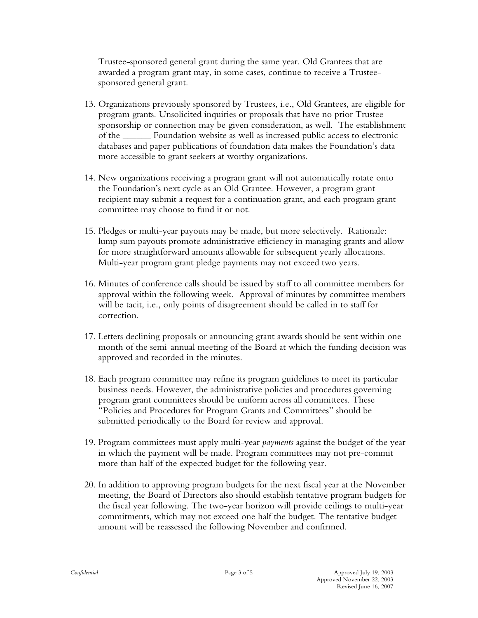Trustee-sponsored general grant during the same year. Old Grantees that are awarded a program grant may, in some cases, continue to receive a Trusteesponsored general grant.

- 13. Organizations previously sponsored by Trustees, i.e., Old Grantees, are eligible for program grants. Unsolicited inquiries or proposals that have no prior Trustee sponsorship or connection may be given consideration, as well. The establishment of the \_\_\_\_\_\_ Foundation website as well as increased public access to electronic databases and paper publications of foundation data makes the Foundation's data more accessible to grant seekers at worthy organizations.
- 14. New organizations receiving a program grant will not automatically rotate onto the Foundation's next cycle as an Old Grantee. However, a program grant recipient may submit a request for a continuation grant, and each program grant committee may choose to fund it or not.
- 15. Pledges or multi-year payouts may be made, but more selectively. Rationale: lump sum payouts promote administrative efficiency in managing grants and allow for more straightforward amounts allowable for subsequent yearly allocations. Multi-year program grant pledge payments may not exceed two years.
- 16. Minutes of conference calls should be issued by staff to all committee members for approval within the following week. Approval of minutes by committee members will be tacit, i.e., only points of disagreement should be called in to staff for correction.
- 17. Letters declining proposals or announcing grant awards should be sent within one month of the semi-annual meeting of the Board at which the funding decision was approved and recorded in the minutes.
- 18. Each program committee may refine its program guidelines to meet its particular business needs. However, the administrative policies and procedures governing program grant committees should be uniform across all committees. These "Policies and Procedures for Program Grants and Committees" should be submitted periodically to the Board for review and approval.
- 19. Program committees must apply multi-year *payments* against the budget of the year in which the payment will be made. Program committees may not pre-commit more than half of the expected budget for the following year.
- 20. In addition to approving program budgets for the next fiscal year at the November meeting, the Board of Directors also should establish tentative program budgets for the fiscal year following. The two-year horizon will provide ceilings to multi-year commitments, which may not exceed one half the budget. The tentative budget amount will be reassessed the following November and confirmed.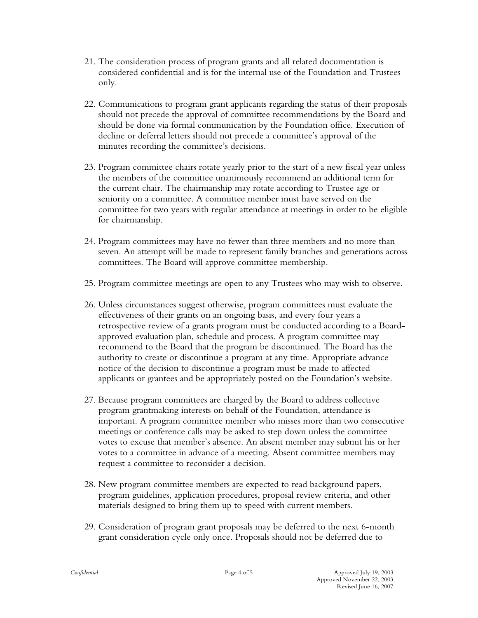- 21. The consideration process of program grants and all related documentation is considered confidential and is for the internal use of the Foundation and Trustees only.
- 22. Communications to program grant applicants regarding the status of their proposals should not precede the approval of committee recommendations by the Board and should be done via formal communication by the Foundation office. Execution of decline or deferral letters should not precede a committee's approval of the minutes recording the committee's decisions.
- 23. Program committee chairs rotate yearly prior to the start of a new fiscal year unless the members of the committee unanimously recommend an additional term for the current chair. The chairmanship may rotate according to Trustee age or seniority on a committee. A committee member must have served on the committee for two years with regular attendance at meetings in order to be eligible for chairmanship.
- 24. Program committees may have no fewer than three members and no more than seven. An attempt will be made to represent family branches and generations across committees. The Board will approve committee membership.
- 25. Program committee meetings are open to any Trustees who may wish to observe.
- 26. Unless circumstances suggest otherwise, program committees must evaluate the effectiveness of their grants on an ongoing basis, and every four years a retrospective review of a grants program must be conducted according to a Boardapproved evaluation plan, schedule and process. A program committee may recommend to the Board that the program be discontinued. The Board has the authority to create or discontinue a program at any time. Appropriate advance notice of the decision to discontinue a program must be made to affected applicants or grantees and be appropriately posted on the Foundation's website.
- 27. Because program committees are charged by the Board to address collective program grantmaking interests on behalf of the Foundation, attendance is important. A program committee member who misses more than two consecutive meetings or conference calls may be asked to step down unless the committee votes to excuse that member's absence. An absent member may submit his or her votes to a committee in advance of a meeting. Absent committee members may request a committee to reconsider a decision.
- 28. New program committee members are expected to read background papers, program guidelines, application procedures, proposal review criteria, and other materials designed to bring them up to speed with current members.
- 29. Consideration of program grant proposals may be deferred to the next 6-month grant consideration cycle only once. Proposals should not be deferred due to